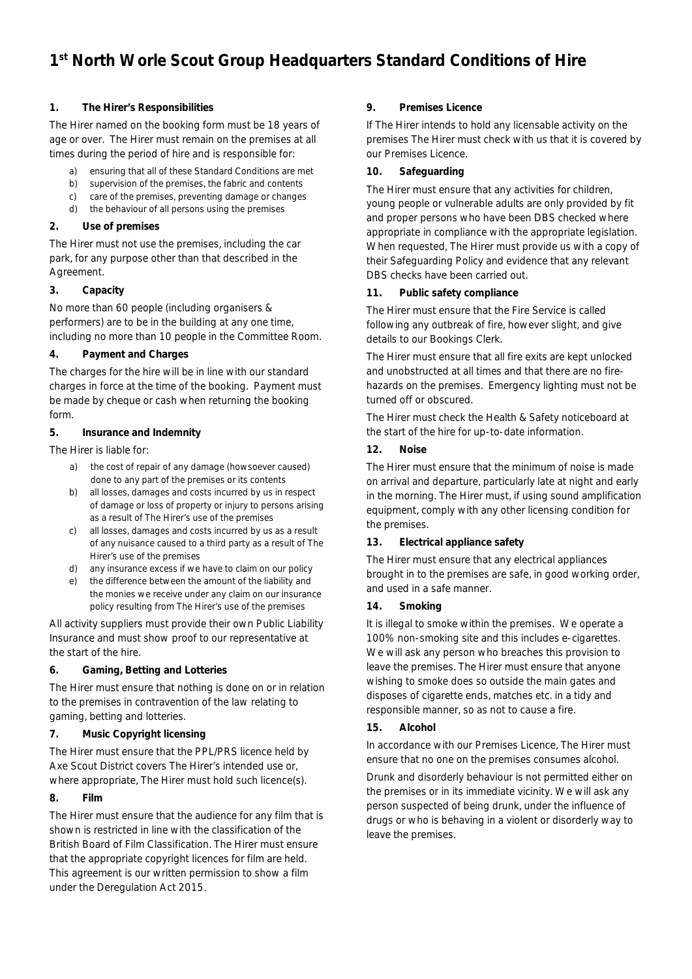# **1st North Worle Scout Group Headquarters Standard Conditions of Hire**

## **1. The Hirer's Responsibilities**

The Hirer named on the booking form must be 18 years of age or over. The Hirer must remain on the premises at all times during the period of hire and is responsible for:

- a) ensuring that all of these Standard Conditions are met
- b) supervision of the premises, the fabric and contents
- c) care of the premises, preventing damage or changes
- d) the behaviour of all persons using the premises

# **2. Use of premises**

The Hirer must not use the premises, including the car park, for any purpose other than that described in the Agreement.

## **3. Capacity**

No more than 60 people (including organisers & performers) are to be in the building at any one time, including no more than 10 people in the Committee Room.

## **4. Payment and Charges**

The charges for the hire will be in line with our standard charges in force at the time of the booking. Payment must be made by cheque or cash when returning the booking form.

## **5. Insurance and Indemnity**

The Hirer is liable for:

- a) the cost of repair of any damage (howsoever caused) done to any part of the premises or its contents
- b) all losses, damages and costs incurred by us in respect of damage or loss of property or injury to persons arising as a result of The Hirer's use of the premises
- c) all losses, damages and costs incurred by us as a result of any nuisance caused to a third party as a result of The Hirer's use of the premises
- d) any insurance excess if we have to claim on our policy
- e) the difference between the amount of the liability and the monies we receive under any claim on our insurance policy resulting from The Hirer's use of the premises

All activity suppliers must provide their own Public Liability Insurance and must show proof to our representative at the start of the hire.

# **6. Gaming, Betting and Lotteries**

The Hirer must ensure that nothing is done on or in relation to the premises in contravention of the law relating to gaming, betting and lotteries.

# **7. Music Copyright licensing**

The Hirer must ensure that the PPL/PRS licence held by Axe Scout District covers The Hirer's intended use or, where appropriate, The Hirer must hold such licence(s).

#### **8. Film**

The Hirer must ensure that the audience for any film that is shown is restricted in line with the classification of the British Board of Film Classification. The Hirer must ensure that the appropriate copyright licences for film are held. This agreement is our written permission to show a film under the Deregulation Act 2015.

## **9. Premises Licence**

If The Hirer intends to hold any licensable activity on the premises The Hirer must check with us that it is covered by our Premises Licence.

## **10. Safeguarding**

The Hirer must ensure that any activities for children, young people or vulnerable adults are only provided by fit and proper persons who have been DBS checked where appropriate in compliance with the appropriate legislation. When requested, The Hirer must provide us with a copy of their Safeguarding Policy and evidence that any relevant DBS checks have been carried out.

## **11. Public safety compliance**

The Hirer must ensure that the Fire Service is called following any outbreak of fire, however slight, and give details to our Bookings Clerk.

The Hirer must ensure that all fire exits are kept unlocked and unobstructed at all times and that there are no firehazards on the premises. Emergency lighting must not be turned off or obscured.

The Hirer must check the Health & Safety noticeboard at the start of the hire for up-to-date information.

# **12. Noise**

The Hirer must ensure that the minimum of noise is made on arrival and departure, particularly late at night and early in the morning. The Hirer must, if using sound amplification equipment, comply with any other licensing condition for the premises.

#### **13. Electrical appliance safety**

The Hirer must ensure that any electrical appliances brought in to the premises are safe, in good working order, and used in a safe manner.

#### **14. Smoking**

It is illegal to smoke within the premises. We operate a 100% non-smoking site and this includes e-cigarettes. We will ask any person who breaches this provision to leave the premises. The Hirer must ensure that anyone wishing to smoke does so outside the main gates and disposes of cigarette ends, matches etc. in a tidy and responsible manner, so as not to cause a fire.

# **15. Alcohol**

In accordance with our Premises Licence, The Hirer must ensure that no one on the premises consumes alcohol.

Drunk and disorderly behaviour is not permitted either on the premises or in its immediate vicinity. We will ask any person suspected of being drunk, under the influence of drugs or who is behaving in a violent or disorderly way to leave the premises.